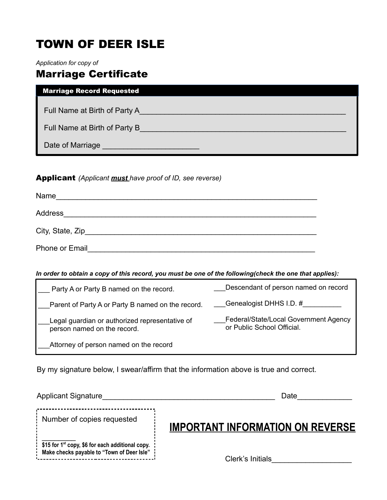# TOWN OF DEER ISLE

*Application for copy of*

# Marriage Certificate

### Marriage Record Requested

Full Name at Birth of Party A\_\_\_\_\_\_\_\_\_\_\_\_\_\_\_\_\_\_\_\_\_\_\_\_\_\_\_\_\_\_\_\_\_\_\_\_\_\_\_\_\_\_\_\_\_\_\_\_\_

Full Name at Birth of Party B\_\_\_\_\_\_\_\_\_\_\_\_\_\_\_\_\_\_\_\_\_\_\_\_\_\_\_\_\_\_\_\_\_\_\_\_\_\_\_\_\_\_\_\_\_\_\_\_\_

Date of Marriage \_\_\_\_\_\_\_\_\_\_\_\_\_\_\_\_\_\_\_\_\_\_\_\_\_\_\_\_\_

#### Applicant *(Applicant must have proof of ID, see reverse)*

| Name                |  |  |
|---------------------|--|--|
| Address             |  |  |
| City, State, Zip___ |  |  |
| Phone or Email      |  |  |

l

#### *In order to obtain a copy of this record, you must be one of the following(check the one that applies):*

| Party A or Party B named on the record.                                       | Descendant of person named on record                                |
|-------------------------------------------------------------------------------|---------------------------------------------------------------------|
| Parent of Party A or Party B named on the record.                             | Genealogist DHHS I.D. #                                             |
| Legal guardian or authorized representative of<br>person named on the record. | Federal/State/Local Government Agency<br>or Public School Official. |
| Attorney of person named on the record                                        |                                                                     |

By my signature below, I swear/affirm that the information above is true and correct.

| <b>Applicant Signature</b>                                                                                 | Date                                    |
|------------------------------------------------------------------------------------------------------------|-----------------------------------------|
| Number of copies requested                                                                                 | <b>IMPORTANT INFORMATION ON REVERSE</b> |
| \$15 for 1 <sup>st</sup> copy, \$6 for each additional copy.<br>Make checks payable to "Town of Deer Isle" | Clerk's Initials                        |